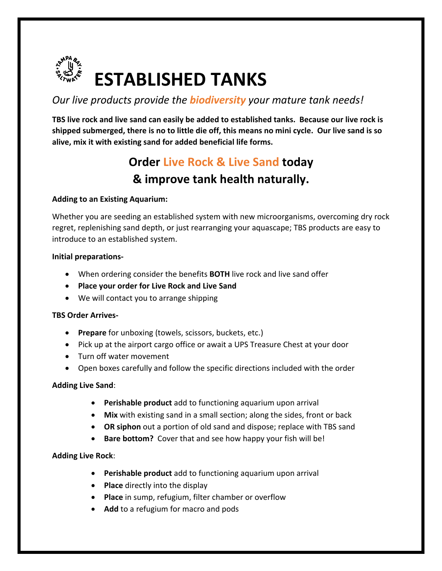

# *Our live products provide the biodiversity your mature tank needs!*

**TBS live rock and live sand can easily be added to established tanks. Because our live rock is shipped submerged, there is no to little die off, this means no mini cycle. Our live sand is so alive, mix it with existing sand for added beneficial life forms.** 

# **Order Live Rock & Live Sand today & improve tank health naturally.**

### **Adding to an Existing Aquarium:**

Whether you are seeding an established system with new microorganisms, overcoming dry rock regret, replenishing sand depth, or just rearranging your aquascape; TBS products are easy to introduce to an established system.

#### **Initial preparations-**

- When ordering consider the benefits **BOTH** live rock and live sand offer
- **Place your order for Live Rock and Live Sand**
- We will contact you to arrange shipping

#### **TBS Order Arrives-**

- **Prepare** for unboxing (towels, scissors, buckets, etc.)
- Pick up at the airport cargo office or await a UPS Treasure Chest at your door
- Turn off water movement
- Open boxes carefully and follow the specific directions included with the order

#### **Adding Live Sand**:

- **Perishable product** add to functioning aquarium upon arrival
- **Mix** with existing sand in a small section; along the sides, front or back
- **OR siphon** out a portion of old sand and dispose; replace with TBS sand
- **Bare bottom?** Cover that and see how happy your fish will be!

#### **Adding Live Rock**:

- **Perishable product** add to functioning aquarium upon arrival
- **Place** directly into the display
- **Place** in sump, refugium, filter chamber or overflow
- **Add** to a refugium for macro and pods